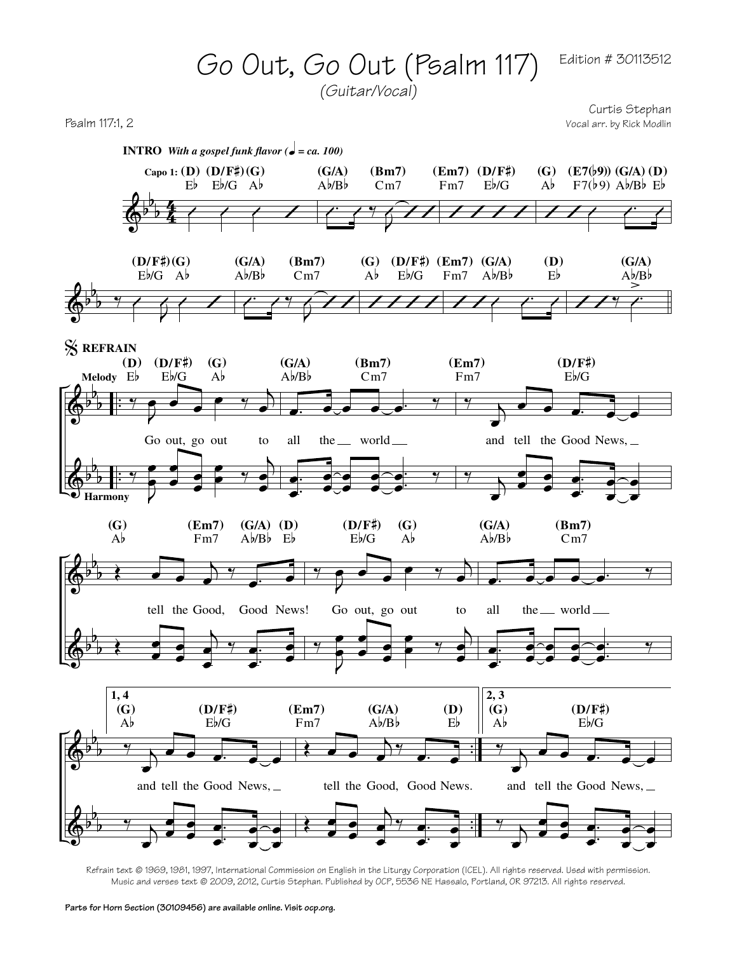

*(Guitar/Vocal)*

Curtis Stephan Psalm 117:1, 2 Vocal arr. by Rick Modlin



Refrain text © 1969, 1981, 1997, International Commission on English in the Liturgy Corporation (ICEL). All rights reserved. Used with permission. Music and verses text © 2009, 2012, Curtis Stephan. Published by OCP, 5536 NE Hassalo, Portland, OR 97213. All rights reserved.